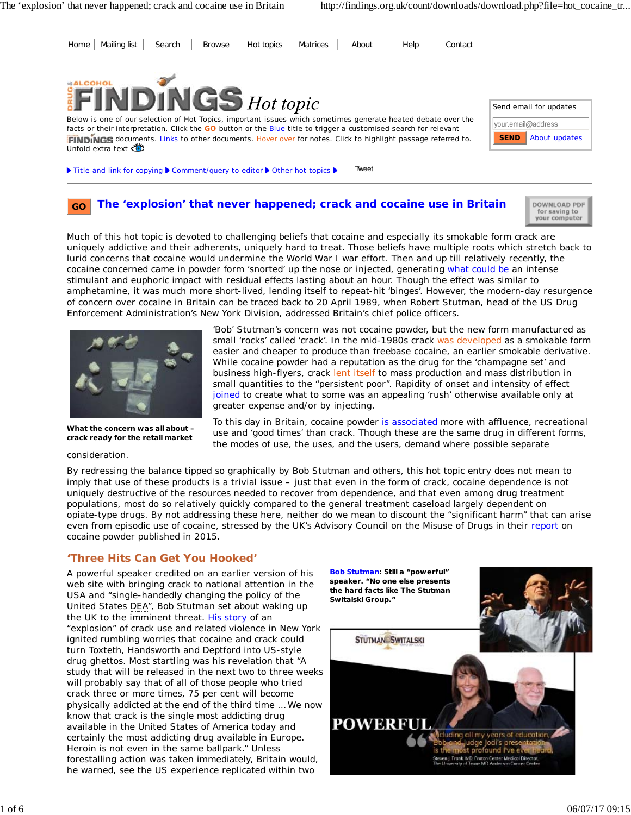

#### **The 'explosion' that never happened; crack and cocaine use in Britain GO**



Much of this hot topic is devoted to challenging beliefs that cocaine and especially its smokable form crack are uniquely addictive and their adherents, uniquely hard to treat. Those beliefs have multiple roots which stretch back to lurid concerns that cocaine would undermine the World War I war effort. Then and up till relatively recently, the cocaine concerned came in powder form 'snorted' up the nose or injected, generating what could be an intense stimulant and euphoric impact with residual effects lasting about an hour. Though the effect was similar to amphetamine, it was much more short-lived, lending itself to repeat-hit 'binges'. However, the modern-day resurgence of concern over cocaine in Britain can be traced back to 20 April 1989, when Robert Stutman, head of the US Drug Enforcement Administration's New York Division, addressed Britain's chief police officers.



**What the concern was all about – crack ready for the retail market**

consideration.

'Bob' Stutman's concern was not cocaine powder, but the new form manufactured as small 'rocks' called 'crack'. In the mid-1980s crack was developed as a smokable form easier and cheaper to produce than freebase cocaine, an earlier smokable derivative. While cocaine powder had a reputation as the drug for the 'champagne set' and business high-flyers, crack lent itself to mass production and mass distribution in small quantities to the "persistent poor". Rapidity of onset and intensity of effect joined to create what to some was an appealing 'rush' otherwise available only at greater expense and/or by injecting.

To this day in Britain, cocaine powder is associated more with affluence, recreational use and 'good times' than crack. Though these are the same drug in different forms, the modes of use, the uses, and the users, demand where possible separate

By redressing the balance tipped so graphically by Bob Stutman and others, this hot topic entry does not mean to imply that use of these products is a trivial issue – just that even in the form of crack, cocaine dependence is not *uniquely* destructive of the resources needed to recover from dependence, and that even among drug treatment populations, most do so relatively quickly compared to the general treatment caseload largely dependent on opiate-type drugs. By not addressing these here, neither do we mean to discount the "significant harm" that can arise even from episodic use of cocaine, stressed by the UK's Advisory Council on the Misuse of Drugs in their report on cocaine powder published in 2015.

# **'Three Hits Can Get You Hooked'**

A powerful speaker credited on an earlier version of his web site with bringing crack to national attention in the USA and "single-handedly changing the policy of the United States DEA", Bob Stutman set about waking up the UK to the imminent threat. His story of an "explosion" of crack use and related violence in New York ignited rumbling worries that cocaine and crack could turn Toxteth, Handsworth and Deptford into US-style drug ghettos. Most startling was his revelation that "A study that will be released in the next two to three weeks will probably say that of all of those people who tried crack three or more times, 75 per cent will become physically addicted at the end of the third time … We now know that crack is the single most addicting drug available in the United States of America today and certainly the most addicting drug available in Europe. Heroin is not even in the same ballpark." Unless forestalling action was taken immediately, Britain would, he warned, see the US experience replicated within two

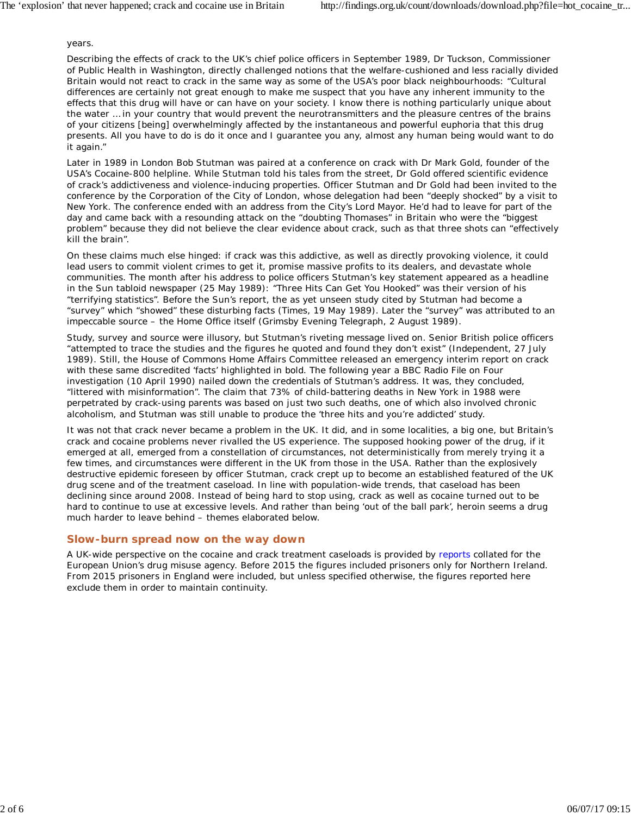### years.

Describing the effects of crack to the UK's chief police officers in September 1989, Dr Tuckson, Commissioner of Public Health in Washington, directly challenged notions that the welfare-cushioned and less racially divided Britain would not react to crack in the same way as some of the USA's poor black neighbourhoods: "Cultural differences are certainly not great enough to make me suspect that you have any inherent immunity to the effects that this drug will have or can have on your society. I know there is nothing particularly unique about the water … in your country that would prevent the neurotransmitters and the pleasure centres of the brains of your citizens [being] overwhelmingly affected by the instantaneous and powerful euphoria that this drug presents. All you have to do is do it once and I guarantee you any, almost any human being would want to do it again."

Later in 1989 in London Bob Stutman was paired at a conference on crack with Dr Mark Gold, founder of the USA's Cocaine-800 helpline. While Stutman told his tales from the street, Dr Gold offered scientific evidence of crack's addictiveness and violence-inducing properties. Officer Stutman and Dr Gold had been invited to the conference by the Corporation of the City of London, whose delegation had been "deeply shocked" by a visit to New York. The conference ended with an address from the City's Lord Mayor. He'd had to leave for part of the day and came back with a resounding attack on the "doubting Thomases" in Britain who were the "biggest problem" because they did not believe the clear evidence about crack, such as that three shots can "effectively kill the brain".

On these claims much else hinged: if crack was this addictive, as well as directly provoking violence, it could lead users to commit violent crimes to get it, promise massive profits to its dealers, and devastate whole communities. The month after his address to police officers Stutman's key statement appeared as a headline in the *Sun* tabloid newspaper (25 May 1989): "Three Hits Can Get You Hooked" was their version of his "terrifying statistics". Before the *Sun*'s report, the as yet unseen study cited by Stutman had become a "survey" which "showed" these disturbing facts (*Times*, 19 May 1989). Later the "survey" was attributed to an impeccable source – the Home Office itself (*Grimsby Evening Telegraph*, 2 August 1989).

Study, survey and source were illusory, but Stutman's riveting message lived on. Senior British police officers "attempted to trace the studies and the figures he quoted and found they don't exist" (*Independent*, 27 July 1989). Still, the House of Commons Home Affairs Committee released an emergency interim report on crack with these same discredited 'facts' highlighted in bold. The following year a BBC Radio *File on Four* investigation (10 April 1990) nailed down the credentials of Stutman's address. It was, they concluded, "littered with misinformation". The claim that 73% of child-battering deaths in New York in 1988 were perpetrated by crack-using parents was based on just two such deaths, one of which also involved chronic alcoholism, and Stutman was still unable to produce the 'three hits and you're addicted' study.

It was not that crack never became a problem in the UK. It did, and in some localities, a big one, but Britain's crack and cocaine problems never rivalled the US experience. The supposed hooking power of the drug, if it emerged at all, emerged from a constellation of circumstances, not deterministically from merely trying it a few times, and circumstances were different in the UK from those in the USA. Rather than the explosively destructive epidemic foreseen by officer Stutman, crack crept up to become an established featured of the UK drug scene and of the treatment caseload. In line with population-wide trends, that caseload has been declining since around 2008. Instead of being hard to stop using, crack as well as cocaine turned out to be hard to *continue* to use at excessive levels. And rather than being 'out of the ball park', heroin seems a drug much harder to leave behind – themes elaborated below.

### **Slow-burn spread now on the way down**

A UK-wide perspective on the cocaine and crack treatment caseloads is provided by reports collated for the European Union's drug misuse agency. Before 2015 the figures included prisoners only for Northern Ireland. From 2015 prisoners in England were included, but unless specified otherwise, the figures reported here exclude them in order to maintain continuity.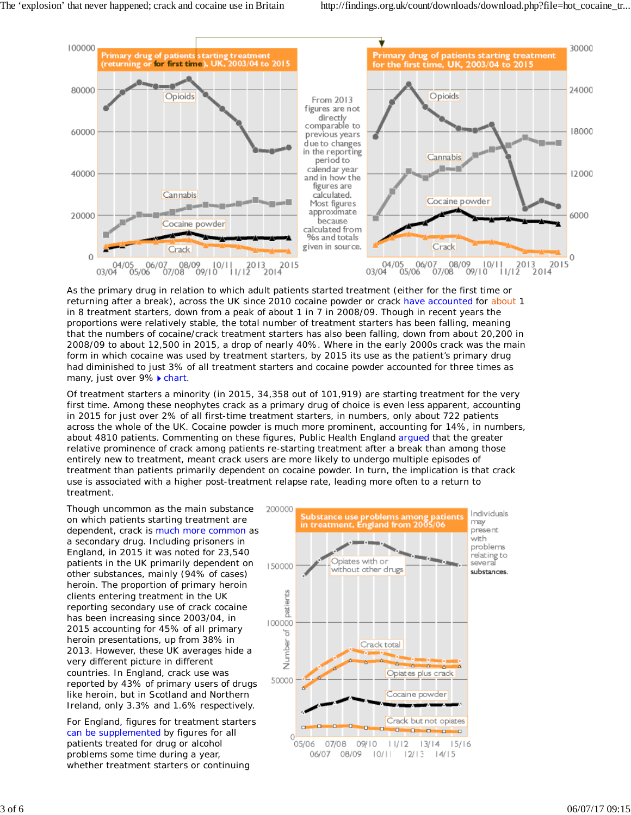

As the primary drug in relation to which adult patients started treatment (either for the first time or returning after a break), across the UK since 2010 cocaine powder or crack have accounted for about 1 in 8 treatment starters, down from a peak of about 1 in 7 in 2008/09. Though in recent years the proportions were relatively stable, the total number of treatment starters has been falling, meaning that the numbers of cocaine/crack treatment starters has also been falling, down from about 20,200 in 2008/09 to about 12,500 in 2015, a drop of nearly 40%. Where in the early 2000s crack was the main form in which cocaine was used by treatment starters, by 2015 its use as the patient's primary drug had diminished to just 3% of all treatment starters and cocaine powder accounted for three times as many, just over 9% ▶ chart.

Of treatment starters a minority (in 2015, 34,358 out of 101,919) are starting treatment for the very first time. Among these neophytes crack as a primary drug of choice is even less apparent, accounting in 2015 for just over 2% of all first-time treatment starters, in numbers, only about 722 patients across the whole of the UK. Cocaine powder is much more prominent, accounting for 14%, in numbers, about 4810 patients. Commenting on these figures, Public Health England argued that the greater relative prominence of crack among patients re-starting treatment after a break than among those entirely new to treatment, meant crack users are more likely to undergo multiple episodes of treatment than patients primarily dependent on cocaine powder. In turn, the implication is that crack use is associated with a higher post-treatment relapse rate, leading more often to a return to treatment.

Though uncommon as the main substance on which patients starting treatment are dependent, crack is much more common as a secondary drug. Including prisoners in England, in 2015 it was noted for 23,540 patients in the UK primarily dependent on other substances, mainly (94% of cases) heroin. The proportion of primary heroin clients entering treatment in the UK reporting secondary use of crack cocaine has been increasing since 2003/04, in 2015 accounting for 45% of all primary heroin presentations, up from 38% in 2013. However, these UK averages hide a very different picture in different countries. In England, crack use was reported by 43% of primary users of drugs like heroin, but in Scotland and Northern Ireland, only 3.3% and 1.6% respectively.

For England, figures for treatment starters can be supplemented by figures for all patients treated for drug or alcohol problems some time during a year, whether treatment starters or continuing

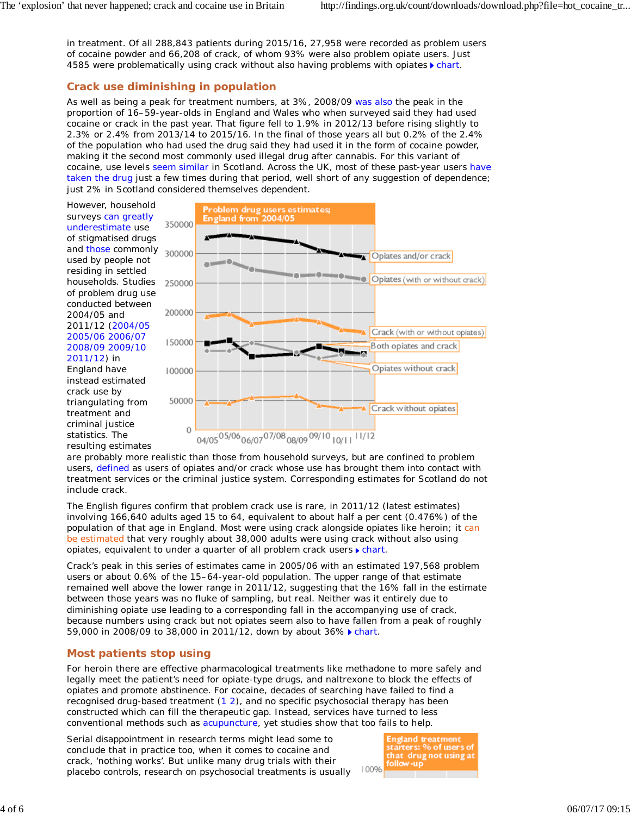in treatment. Of all 288,843 patients during 2015/16, 27,958 were recorded as problem users of cocaine powder and 66,208 of crack, of whom 93% were also problem opiate users. Just 4585 were problematically using crack without also having problems with opiates  $\blacktriangleright$  chart.

## **Crack use diminishing in population**

As well as being a peak for treatment numbers, at 3%, 2008/09 was also the peak in the proportion of 16–59-year-olds in England and Wales who when surveyed said they had used cocaine or crack in the past year. That figure fell to 1.9% in 2012/13 before rising slightly to 2.3% or 2.4% from 2013/14 to 2015/16. In the final of those years all but 0.2% of the 2.4% of the population who had used the drug said they had used it in the form of cocaine powder, making it the second most commonly used illegal drug after cannabis. For this variant of cocaine, use levels seem similar in Scotland. Across the UK, most of these past-year users have taken the drug just a few times during that period, well short of any suggestion of dependence; just 2% in Scotland considered themselves dependent.

However, household surveys can greatly underestimate use of stigmatised drugs and those commonly used by people not residing in settled households. Studies of problem drug use conducted between 2004/05 and 2011/12 (2004/05 2005/06 2006/07 2008/09 2009/10 2011/12) in England have instead estimated crack use by triangulating from treatment and

criminal justice statistics. The resulting estimates



are probably more realistic than those from household surveys, but are confined to problem users, defined as users of opiates and/or crack whose use has brought them into contact with treatment services or the criminal justice system. Corresponding estimates for Scotland do not include crack.

The English figures confirm that problem crack use is rare, in 2011/12 (latest estimates) involving 166,640 adults aged 15 to 64, equivalent to about half a per cent (0.476%) of the population of that age in England. Most were using crack alongside opiates like heroin; it can be estimated that very roughly about 38,000 adults were using crack without also using opiates, equivalent to under a quarter of all problem crack users  $\blacktriangleright$  chart.

Crack's peak in this series of estimates came in 2005/06 with an estimated 197,568 problem users or about 0.6% of the 15–64-year-old population. The upper range of that estimate remained well above the lower range in 2011/12, suggesting that the 16% fall in the estimate between those years was no fluke of sampling, but real. Neither was it entirely due to diminishing opiate use leading to a corresponding fall in the accompanying use of crack, because numbers using crack but *not* opiates seem also to have fallen from a peak of roughly 59,000 in 2008/09 to 38,000 in 2011/12, down by about 36% chart.

# **Most patients stop using**

For heroin there are effective pharmacological treatments like methadone to more safely and legally meet the patient's need for opiate-type drugs, and naltrexone to block the effects of opiates and promote abstinence. For cocaine, decades of searching have failed to find a recognised drug-based treatment (1 2), and no specific psychosocial therapy has been constructed which can fill the therapeutic gap. Instead, services have turned to less conventional methods such as acupuncture, yet studies show that too fails to help.

Serial disappointment in research terms might lead some to conclude that in practice too, when it comes to cocaine and crack, 'nothing works'. But unlike many drug trials with their placebo controls, research on psychosocial treatments is usually

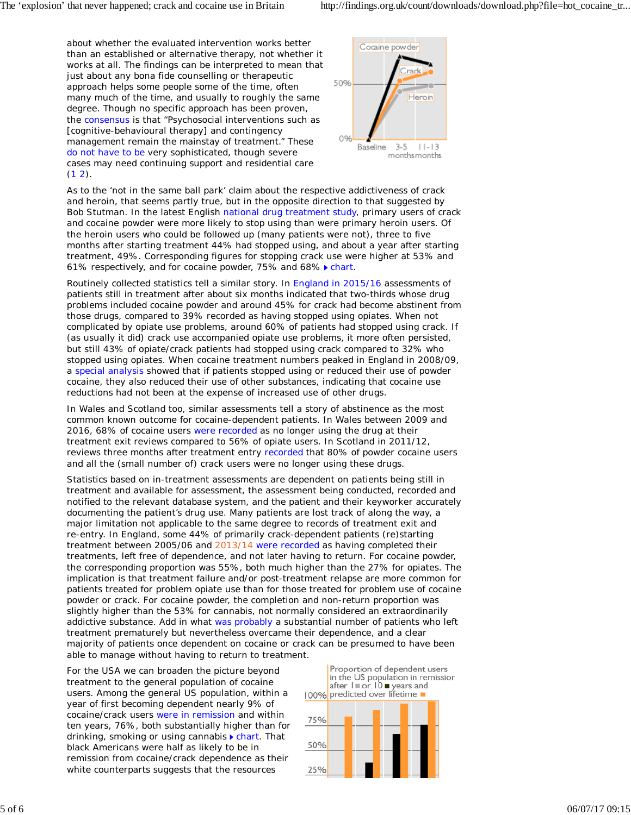about whether the evaluated intervention works *better* than an established or alternative therapy, not whether it works at all. The findings can be interpreted to mean that just about any bona fide counselling or therapeutic approach helps some people some of the time, often many much of the time, and usually to roughly the same degree. Though no specific approach has been proven, the consensus is that "Psychosocial interventions such as [cognitive-behavioural therapy] and contingency management remain the mainstay of treatment." These do not have to be very sophisticated, though severe cases may need continuing support and residential care  $(1 2).$ 



As to the 'not in the same ball park' claim about the respective addictiveness of crack and heroin, that seems partly true, but in the opposite direction to that suggested by Bob Stutman. In the latest English national drug treatment study, primary users of crack and cocaine powder were more likely to stop using than were primary heroin users. Of the heroin users who could be followed up (many patients were not), three to five months after starting treatment 44% had stopped using, and about a year after starting treatment, 49%. Corresponding figures for stopping crack use were higher at 53% and 61% respectively, and for cocaine powder, 75% and 68% > chart.

Routinely collected statistics tell a similar story. In England in 2015/16 assessments of patients still in treatment after about six months indicated that two-thirds whose drug problems included cocaine powder and around 45% for crack had become abstinent from those drugs, compared to 39% recorded as having stopped using opiates. When not complicated by opiate use problems, around 60% of patients had stopped using crack. If (as usually it did) crack use accompanied opiate use problems, it more often persisted, but still 43% of opiate/crack patients had stopped using crack compared to 32% who stopped using opiates. When cocaine treatment numbers peaked in England in 2008/09, a special analysis showed that if patients stopped using or reduced their use of powder cocaine, they also reduced their use of other substances, indicating that cocaine use reductions had not been at the expense of increased use of other drugs.

In Wales and Scotland too, similar assessments tell a story of abstinence as the most common known outcome for cocaine-dependent patients. In Wales between 2009 and 2016, 68% of cocaine users were recorded as no longer using the drug at their treatment exit reviews compared to 56% of opiate users. In Scotland in 2011/12, reviews three months after treatment entry recorded that 80% of powder cocaine users and all the (small number of) crack users were no longer using these drugs.

Statistics based on in-treatment assessments are dependent on patients being still in treatment and available for assessment, the assessment being conducted, recorded and notified to the relevant database system, and the patient and their keyworker accurately documenting the patient's drug use. Many patients are lost track of along the way, a major limitation not applicable to the same degree to records of treatment exit and re-entry. In England, some 44% of primarily crack-dependent patients (re)starting treatment between 2005/06 and 2013/14 were recorded as having completed their treatments, left free of dependence, and not later having to return. For cocaine powder, the corresponding proportion was 55%, both much higher than the 27% for opiates. The implication is that treatment failure and/or post-treatment relapse are more common for patients treated for problem opiate use than for those treated for problem use of cocaine powder or crack. For cocaine powder, the completion and non-return proportion was slightly higher than the 53% for cannabis, not normally considered an extraordinarily addictive substance. Add in what was probably a substantial number of patients who left treatment prematurely but nevertheless overcame their dependence, and a clear majority of patients once dependent on cocaine or crack can be presumed to have been able to manage without having to return to treatment.

For the USA we can broaden the picture beyond treatment to the general population of cocaine users. Among the general US population, within a year of first becoming dependent nearly 9% of cocaine/crack users were in remission and within ten years, 76%, both substantially higher than for drinking, smoking or using cannabis  $\triangleright$  chart. That black Americans were half as likely to be in remission from cocaine/crack dependence as their white counterparts suggests that the resources